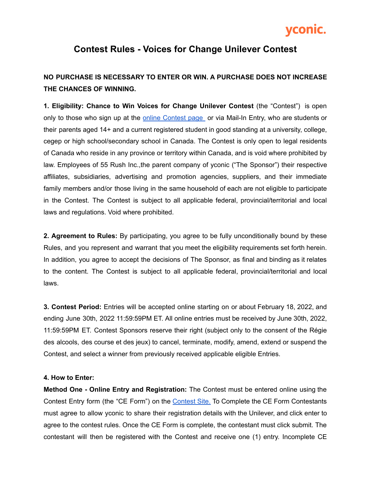# vconic.

### **Contest Rules - Voices for Change Unilever Contest**

### **NO PURCHASE IS NECESSARY TO ENTER OR WIN. A PURCHASE DOES NOT INCREASE THE CHANCES OF WINNING.**

**1. Eligibility: Chance to Win Voices for Change Unilever Contest** (the "Contest") is open only to those who sign up at the online [Contest](https://forms.yconic.com/s/unilever-voices-for-change-award-2022/tt-9e7413) page or via Mail-In Entry, who are students or their parents aged 14+ and a current registered student in good standing at a university, college, cegep or high school/secondary school in Canada. The Contest is only open to legal residents of Canada who reside in any province or territory within Canada, and is void where prohibited by law. Employees of 55 Rush Inc.,the parent company of yconic ("The Sponsor") their respective affiliates, subsidiaries, advertising and promotion agencies, suppliers, and their immediate family members and/or those living in the same household of each are not eligible to participate in the Contest. The Contest is subject to all applicable federal, provincial/territorial and local laws and regulations. Void where prohibited.

**2. Agreement to Rules:** By participating, you agree to be fully unconditionally bound by these Rules, and you represent and warrant that you meet the eligibility requirements set forth herein. In addition, you agree to accept the decisions of The Sponsor, as final and binding as it relates to the content. The Contest is subject to all applicable federal, provincial/territorial and local laws.

**3. Contest Period:** Entries will be accepted online starting on or about February 18, 2022, and ending June 30th, 2022 11:59:59PM ET. All online entries must be received by June 30th, 2022, 11:59:59PM ET. Contest Sponsors reserve their right (subject only to the consent of the Régie des alcools, des course et des jeux) to cancel, terminate, modify, amend, extend or suspend the Contest, and select a winner from previously received applicable eligible Entries.

#### **4. How to Enter:**

**Method One - Online Entry and Registration:** The Contest must be entered online using the [Contest](https://forms.yconic.com/s/unilever-voices-for-change-award-2022/tt-9e7413) Entry form (the "CE Form") on the **Contest Site**. To Complete the CE Form Contestants must agree to allow yconic to share their registration details with the Unilever, and click enter to agree to the contest rules. Once the CE Form is complete, the contestant must click submit. The contestant will then be registered with the Contest and receive one (1) entry. Incomplete CE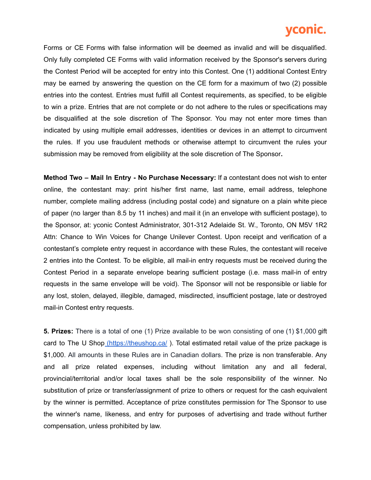## vconic.

Forms or CE Forms with false information will be deemed as invalid and will be disqualified. Only fully completed CE Forms with valid information received by the Sponsor's servers during the Contest Period will be accepted for entry into this Contest. One (1) additional Contest Entry may be earned by answering the question on the CE form for a maximum of two (2) possible entries into the contest. Entries must fulfill all Contest requirements, as specified, to be eligible to win a prize. Entries that are not complete or do not adhere to the rules or specifications may be disqualified at the sole discretion of The Sponsor. You may not enter more times than indicated by using multiple email addresses, identities or devices in an attempt to circumvent the rules. If you use fraudulent methods or otherwise attempt to circumvent the rules your submission may be removed from eligibility at the sole discretion of The Sponsor**.**

**Method Two – Mail In Entry - No Purchase Necessary:** If a contestant does not wish to enter online, the contestant may: print his/her first name, last name, email address, telephone number, complete mailing address (including postal code) and signature on a plain white piece of paper (no larger than 8.5 by 11 inches) and mail it (in an envelope with sufficient postage), to the Sponsor, at: yconic Contest Administrator, 301-312 Adelaide St. W., Toronto, ON M5V 1R2 Attn: Chance to Win Voices for Change Unilever Contest. Upon receipt and verification of a contestant's complete entry request in accordance with these Rules, the contestant will receive 2 entries into the Contest. To be eligible, all mail-in entry requests must be received during the Contest Period in a separate envelope bearing sufficient postage (i.e. mass mail-in of entry requests in the same envelope will be void). The Sponsor will not be responsible or liable for any lost, stolen, delayed, illegible, damaged, misdirected, insufficient postage, late or destroyed mail-in Contest entry requests.

**5. Prizes:** There is a total of one (1) Prize available to be won consisting of one (1) \$1,000 gift card to The U Shop [\(https://theushop.ca/](https://theushop.ca/)). Total estimated retail value of the prize package is \$1,000. All amounts in these Rules are in Canadian dollars. The prize is non transferable. Any and all prize related expenses, including without limitation any and all federal, provincial/territorial and/or local taxes shall be the sole responsibility of the winner. No substitution of prize or transfer/assignment of prize to others or request for the cash equivalent by the winner is permitted. Acceptance of prize constitutes permission for The Sponsor to use the winner's name, likeness, and entry for purposes of advertising and trade without further compensation, unless prohibited by law.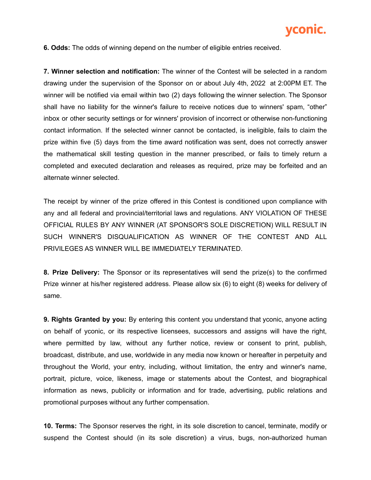

**6. Odds:** The odds of winning depend on the number of eligible entries received.

**7. Winner selection and notification:** The winner of the Contest will be selected in a random drawing under the supervision of the Sponsor on or about July 4th, 2022 at 2:00PM ET. The winner will be notified via email within two (2) days following the winner selection. The Sponsor shall have no liability for the winner's failure to receive notices due to winners' spam, "other" inbox or other security settings or for winners' provision of incorrect or otherwise non-functioning contact information. If the selected winner cannot be contacted, is ineligible, fails to claim the prize within five (5) days from the time award notification was sent, does not correctly answer the mathematical skill testing question in the manner prescribed, or fails to timely return a completed and executed declaration and releases as required, prize may be forfeited and an alternate winner selected.

The receipt by winner of the prize offered in this Contest is conditioned upon compliance with any and all federal and provincial/territorial laws and regulations. ANY VIOLATION OF THESE OFFICIAL RULES BY ANY WINNER (AT SPONSOR'S SOLE DISCRETION) WILL RESULT IN SUCH WINNER'S DISQUALIFICATION AS WINNER OF THE CONTEST AND ALL PRIVILEGES AS WINNER WILL BE IMMEDIATELY TERMINATED.

**8. Prize Delivery:** The Sponsor or its representatives will send the prize(s) to the confirmed Prize winner at his/her registered address. Please allow six (6) to eight (8) weeks for delivery of same.

**9. Rights Granted by you:** By entering this content you understand that yconic, anyone acting on behalf of yconic, or its respective licensees, successors and assigns will have the right, where permitted by law, without any further notice, review or consent to print, publish, broadcast, distribute, and use, worldwide in any media now known or hereafter in perpetuity and throughout the World, your entry, including, without limitation, the entry and winner's name, portrait, picture, voice, likeness, image or statements about the Contest, and biographical information as news, publicity or information and for trade, advertising, public relations and promotional purposes without any further compensation.

**10. Terms:** The Sponsor reserves the right, in its sole discretion to cancel, terminate, modify or suspend the Contest should (in its sole discretion) a virus, bugs, non-authorized human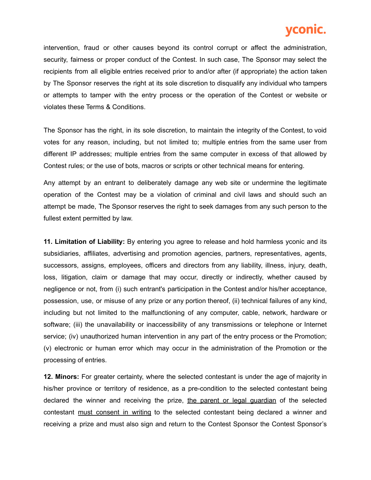## vconic.

intervention, fraud or other causes beyond its control corrupt or affect the administration, security, fairness or proper conduct of the Contest. In such case, The Sponsor may select the recipients from all eligible entries received prior to and/or after (if appropriate) the action taken by The Sponsor reserves the right at its sole discretion to disqualify any individual who tampers or attempts to tamper with the entry process or the operation of the Contest or website or violates these Terms & Conditions.

The Sponsor has the right, in its sole discretion, to maintain the integrity of the Contest, to void votes for any reason, including, but not limited to; multiple entries from the same user from different IP addresses; multiple entries from the same computer in excess of that allowed by Contest rules; or the use of bots, macros or scripts or other technical means for entering.

Any attempt by an entrant to deliberately damage any web site or undermine the legitimate operation of the Contest may be a violation of criminal and civil laws and should such an attempt be made, The Sponsor reserves the right to seek damages from any such person to the fullest extent permitted by law.

**11. Limitation of Liability:** By entering you agree to release and hold harmless yconic and its subsidiaries, affiliates, advertising and promotion agencies, partners, representatives, agents, successors, assigns, employees, officers and directors from any liability, illness, injury, death, loss, litigation, claim or damage that may occur, directly or indirectly, whether caused by negligence or not, from (i) such entrant's participation in the Contest and/or his/her acceptance, possession, use, or misuse of any prize or any portion thereof, (ii) technical failures of any kind, including but not limited to the malfunctioning of any computer, cable, network, hardware or software; (iii) the unavailability or inaccessibility of any transmissions or telephone or Internet service; (iv) unauthorized human intervention in any part of the entry process or the Promotion; (v) electronic or human error which may occur in the administration of the Promotion or the processing of entries.

**12. Minors:** For greater certainty, where the selected contestant is under the age of majority in his/her province or territory of residence, as a pre-condition to the selected contestant being declared the winner and receiving the prize, the parent or legal guardian of the selected contestant must consent in writing to the selected contestant being declared a winner and receiving a prize and must also sign and return to the Contest Sponsor the Contest Sponsor's